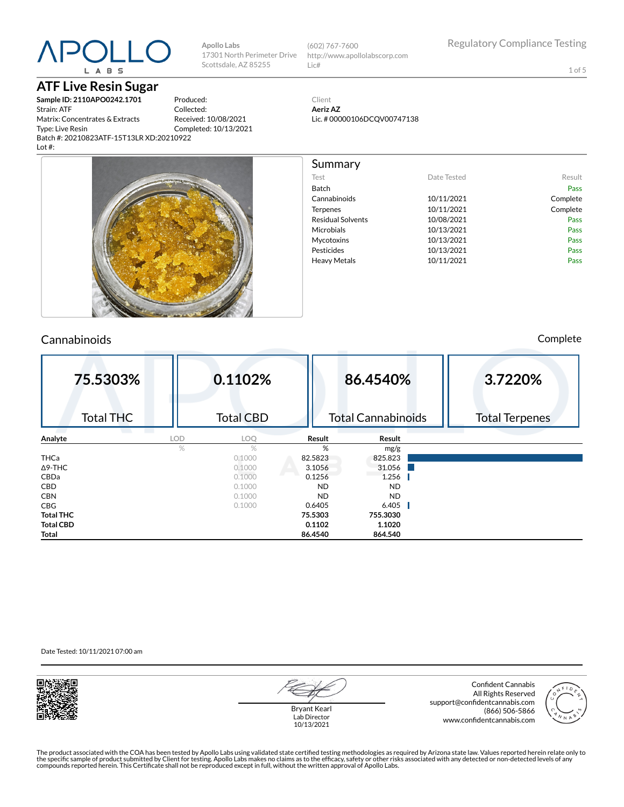# **ATF Live Resin Sugar**

**Sample ID: 2110APO0242.1701** Strain: ATF Matrix: Concentrates & Extracts Type: Live Resin Batch #: 20210823ATF-15T13LR XD:20210922 Lot #:

Produced: Collected: Received: 10/08/2021 Completed: 10/13/2021

**Apollo Labs**

Scottsdale, AZ 85255

17301 North Perimeter Drive (602) 767-7600 http://www.apollolabscorp.com Lic#

1 of 5

Client **Aeriz AZ** Lic. # 00000106DCQV00747138

| Summary                  |             |          |
|--------------------------|-------------|----------|
| Test                     | Date Tested | Result   |
| Batch                    |             | Pass     |
| Cannabinoids             | 10/11/2021  | Complete |
| Terpenes                 | 10/11/2021  | Complete |
| <b>Residual Solvents</b> | 10/08/2021  | Pass     |
| Microbials               | 10/13/2021  | Pass     |
| Mycotoxins               | 10/13/2021  | Pass     |
| Pesticides               | 10/13/2021  | Pass     |
| <b>Heavy Metals</b>      | 10/11/2021  | Pass     |
|                          |             |          |
|                          |             |          |
|                          |             |          |
|                          |             |          |
|                          |             |          |

### Cannabinoids Complete

| 75.5303%         |            | 0.1102%          |           | 86.4540%                  | 3.7220%               |
|------------------|------------|------------------|-----------|---------------------------|-----------------------|
| <b>Total THC</b> |            | <b>Total CBD</b> |           | <b>Total Cannabinoids</b> | <b>Total Terpenes</b> |
| Analyte          | <b>LOD</b> | LOQ              | Result    | Result                    |                       |
|                  | %          | $\frac{0}{2}$    | %         | mg/g                      |                       |
| <b>THCa</b>      |            | 0.1000           | 82.5823   | 825.823                   |                       |
| $\Delta$ 9-THC   |            | 0.1000           | 3.1056    | 31.056                    |                       |
| <b>CBDa</b>      |            | 0.1000           | 0.1256    | 1.256                     |                       |
| <b>CBD</b>       |            | 0.1000           | <b>ND</b> | <b>ND</b>                 |                       |
| <b>CBN</b>       |            | 0.1000           | <b>ND</b> | <b>ND</b>                 |                       |
| <b>CBG</b>       |            | 0.1000           | 0.6405    | 6.405                     |                       |
| <b>Total THC</b> |            |                  | 75.5303   | 755.3030                  |                       |
| <b>Total CBD</b> |            |                  | 0.1102    | 1.1020                    |                       |
| Total            |            |                  | 86.4540   | 864.540                   |                       |

Date Tested: 10/11/2021 07:00 am



Confident Cannabis All Rights Reserved support@confidentcannabis.com (866) 506-5866 www.confidentcannabis.com



Bryant Kearl Lab Director 10/13/2021

The product associated with the COA has been tested by Apollo Labs using validated state certified testing methodologies as required by Arizona state law. Values reported herein relate only to<br>the specific sample of produc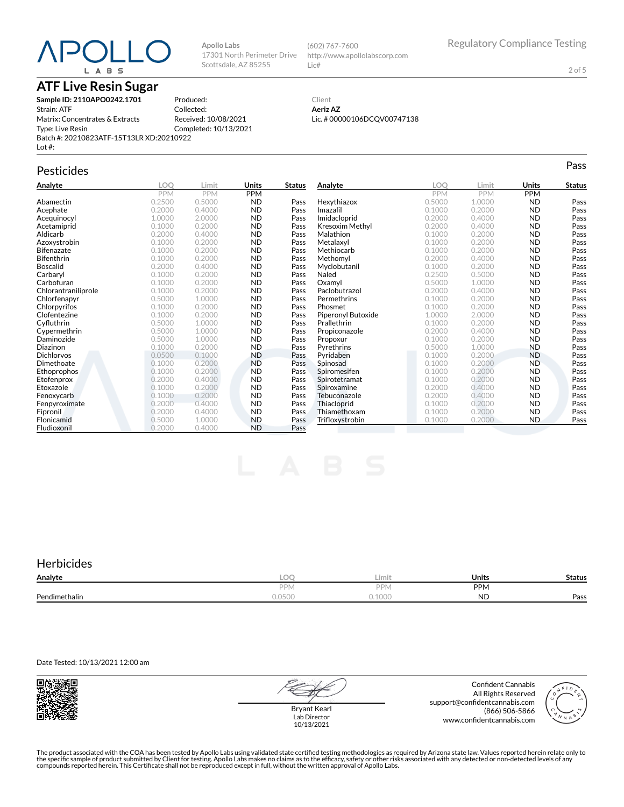## **ATF Live Resin Sugar**

**Sample ID: 2110APO0242.1701** Strain: ATF Matrix: Concentrates & Extracts Type: Live Resin Batch #: 20210823ATF-15T13LR XD:20210922 Lot #:

Produced: Collected: Received: 10/08/2021 Completed: 10/13/2021

**Apollo Labs**

17301 North Perimeter Drive Scottsdale, AZ 85255

# Pesticides **Passage of the Contract of Contract Contract of Contract Contract Contract Contract Contract Contract Contract Contract Contract Contract Contract Contract Contract Contract Contract Contract Contract Contract**

| Analyte             | LOQ        | Limit      | Units      | <b>Status</b> | Analyte            | LOO        | Limit      | Units      | <b>Status</b> |
|---------------------|------------|------------|------------|---------------|--------------------|------------|------------|------------|---------------|
|                     | <b>PPM</b> | <b>PPM</b> | <b>PPM</b> |               |                    | <b>PPM</b> | <b>PPM</b> | <b>PPM</b> |               |
| Abamectin           | 0.2500     | 0.5000     | <b>ND</b>  | Pass          | Hexythiazox        | 0.5000     | 1.0000     | <b>ND</b>  | Pass          |
| Acephate            | 0.2000     | 0.4000     | <b>ND</b>  | Pass          | Imazalil           | 0.1000     | 0.2000     | <b>ND</b>  | Pass          |
| Acequinocyl         | 1.0000     | 2.0000     | <b>ND</b>  | Pass          | Imidacloprid       | 0.2000     | 0.4000     | <b>ND</b>  | Pass          |
| Acetamiprid         | 0.1000     | 0.2000     | <b>ND</b>  | Pass          | Kresoxim Methyl    | 0.2000     | 0.4000     | <b>ND</b>  | Pass          |
| Aldicarb            | 0.2000     | 0.4000     | <b>ND</b>  | Pass          | Malathion          | 0.1000     | 0.2000     | <b>ND</b>  | Pass          |
| Azoxystrobin        | 0.1000     | 0.2000     | <b>ND</b>  | Pass          | Metalaxyl          | 0.1000     | 0.2000     | <b>ND</b>  | Pass          |
| <b>Bifenazate</b>   | 0.1000     | 0.2000     | <b>ND</b>  | Pass          | Methiocarb         | 0.1000     | 0.2000     | <b>ND</b>  | Pass          |
| Bifenthrin          | 0.1000     | 0.2000     | <b>ND</b>  | Pass          | Methomvl           | 0.2000     | 0.4000     | <b>ND</b>  | Pass          |
| <b>Boscalid</b>     | 0.2000     | 0.4000     | <b>ND</b>  | Pass          | Myclobutanil       | 0.1000     | 0.2000     | <b>ND</b>  | Pass          |
| Carbaryl            | 0.1000     | 0.2000     | <b>ND</b>  | Pass          | Naled              | 0.2500     | 0.5000     | <b>ND</b>  | Pass          |
| Carbofuran          | 0.1000     | 0.2000     | <b>ND</b>  | Pass          | Oxamyl             | 0.5000     | 1.0000     | <b>ND</b>  | Pass          |
| Chlorantraniliprole | 0.1000     | 0.2000     | <b>ND</b>  | Pass          | Paclobutrazol      | 0.2000     | 0.4000     | <b>ND</b>  | Pass          |
| Chlorfenapyr        | 0.5000     | 1.0000     | <b>ND</b>  | Pass          | Permethrins        | 0.1000     | 0.2000     | <b>ND</b>  | Pass          |
| Chlorpyrifos        | 0.1000     | 0.2000     | <b>ND</b>  | Pass          | Phosmet            | 0.1000     | 0.2000     | <b>ND</b>  | Pass          |
| Clofentezine        | 0.1000     | 0.2000     | <b>ND</b>  | Pass          | Piperonyl Butoxide | 1.0000     | 2.0000     | <b>ND</b>  | Pass          |
| Cyfluthrin          | 0.5000     | 1.0000     | <b>ND</b>  | Pass          | Prallethrin        | 0.1000     | 0.2000     | <b>ND</b>  | Pass          |
| Cypermethrin        | 0.5000     | 1.0000     | <b>ND</b>  | Pass          | Propiconazole      | 0.2000     | 0.4000     | <b>ND</b>  | Pass          |
| Daminozide          | 0.5000     | 1.0000     | <b>ND</b>  | Pass          | Propoxur           | 0.1000     | 0.2000     | ND         | Pass          |
| Diazinon            | 0.1000     | 0.2000     | <b>ND</b>  | Pass          | Pyrethrins         | 0.5000     | 1.0000     | <b>ND</b>  | Pass          |
| <b>Dichlorvos</b>   | 0.0500     | 0.1000     | <b>ND</b>  | Pass          | Pyridaben          | 0.1000     | 0.2000     | <b>ND</b>  | Pass          |
| Dimethoate          | 0.1000     | 0.2000     | <b>ND</b>  | Pass          | Spinosad           | 0.1000     | 0.2000     | <b>ND</b>  | Pass          |
| Ethoprophos         | 0.1000     | 0.2000     | <b>ND</b>  | Pass          | Spiromesifen       | 0.1000     | 0.2000     | ND         | Pass          |
| Etofenprox          | 0.2000     | 0.4000     | <b>ND</b>  | Pass          | Spirotetramat      | 0.1000     | 0.2000     | <b>ND</b>  | Pass          |
| Etoxazole           | 0.1000     | 0.2000     | <b>ND</b>  | Pass          | Spiroxamine        | 0.2000     | 0.4000     | <b>ND</b>  | Pass          |
| Fenoxycarb          | 0.1000     | 0.2000     | <b>ND</b>  | Pass          | Tebuconazole       | 0.2000     | 0.4000     | <b>ND</b>  | Pass          |
| Fenpyroximate       | 0.2000     | 0.4000     | <b>ND</b>  | Pass          | Thiacloprid        | 0.1000     | 0.2000     | <b>ND</b>  | Pass          |
| Fipronil            | 0.2000     | 0.4000     | <b>ND</b>  | Pass          | Thiamethoxam       | 0.1000     | 0.2000     | <b>ND</b>  | Pass          |
| Flonicamid          | 0.5000     | 1.0000     | <b>ND</b>  | Pass          | Trifloxystrobin    | 0.1000     | 0.2000     | <b>ND</b>  | Pass          |
| Fludioxonil         | 0.2000     | 0.4000     | <b>ND</b>  | Pass          |                    |            |            |            |               |

### **Herbicides**

| Analyte       | ∽                               | Limit                    | <b>Units</b> | <b>Status</b> |
|---------------|---------------------------------|--------------------------|--------------|---------------|
|               | DDN<br>$\Gamma$   $\vee$ $\vee$ | <b>DDI</b><br>ΠΥ         | PPM          |               |
| Pendimethalin | $\cap$<br>U.UJUU                | $1 \cap \cap$<br>u. luuu | <b>ND</b>    | Pass          |

Date Tested: 10/13/2021 12:00 am



Bryant Kearl Lab Director 10/13/2021

Confident Cannabis All Rights Reserved support@confidentcannabis.com (866) 506-5866 www.confidentcannabis.com



The product associated with the COA has been tested by Apollo Labs using validated state certified testing methodologies as required by Arizona state law. Values reported herein relate only to<br>the specific sample of produc

2 of 5

#### Client **Aeriz AZ** Lic. # 00000106DCQV00747138

http://www.apollolabscorp.com

(602) 767-7600

Lic#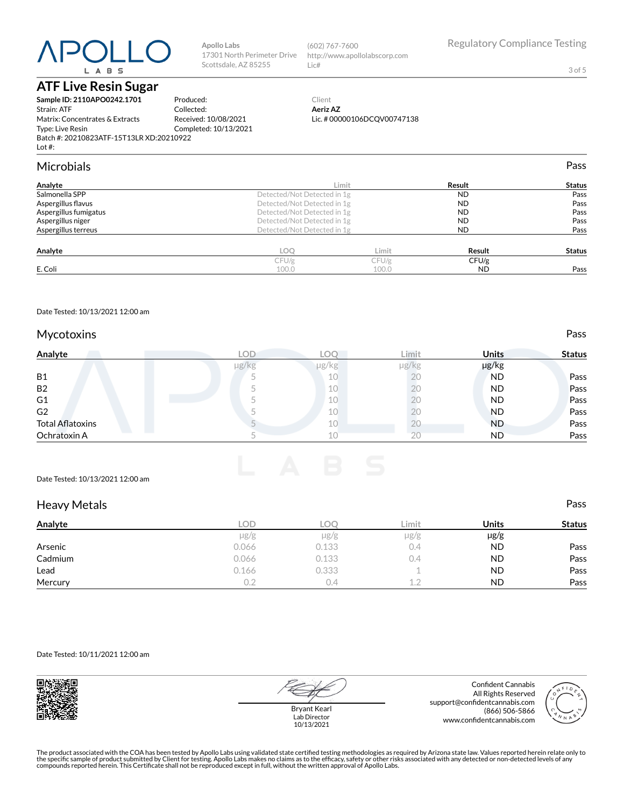## **ATF Live Resin Sugar**

**Sample ID: 2110APO0242.1701** Strain: ATF Matrix: Concentrates & Extracts Type: Live Resin Batch #: 20210823ATF-15T13LR XD:20210922 Lot #: Produced: Collected: Received: 10/08/2021 Completed: 10/13/2021

**Apollo Labs**

17301 North Perimeter Drive Scottsdale, AZ 85255

### Microbials Pass

| Analyte               |                             | Limit | Result    | <b>Status</b> |
|-----------------------|-----------------------------|-------|-----------|---------------|
| Salmonella SPP        | Detected/Not Detected in 1g |       | <b>ND</b> | Pass          |
| Aspergillus flavus    | Detected/Not Detected in 1g |       | <b>ND</b> | Pass          |
| Aspergillus fumigatus | Detected/Not Detected in 1g |       | <b>ND</b> | Pass          |
| Aspergillus niger     | Detected/Not Detected in 1g |       | <b>ND</b> | Pass          |
| Aspergillus terreus   | Detected/Not Detected in 1g |       | <b>ND</b> | Pass          |
| Analyte               | LOO                         | Limit | Result    | <b>Status</b> |
|                       | CFU/g                       | CFU/g | CFU/g     |               |
| E. Coli               | 100.0                       | 100.0 | <b>ND</b> | Pass          |

Date Tested: 10/13/2021 12:00 am

### Mycotoxins **Pass**

| Analyte                 |       | LOD. | LOC   | Limit      | <b>Units</b> | <b>Status</b> |
|-------------------------|-------|------|-------|------------|--------------|---------------|
|                         | µg/kg |      | µg/kg | $\mu$ g/kg | µg/kg        |               |
| <b>B1</b>               |       |      | 10    | ŻŪ         | <b>ND</b>    | Pass          |
| <b>B2</b>               |       |      | 10    | 20         | <b>ND</b>    | Pass          |
| G <sub>1</sub>          |       |      | 10    | ΖU         | <b>ND</b>    | Pass          |
| G <sub>2</sub>          |       |      | 10    | ΖU         | <b>ND</b>    | Pass          |
| <b>Total Aflatoxins</b> |       |      | 10    | ΖU         | <b>ND</b>    | Pass          |
| Ochratoxin A            |       |      | 10    | 20         | <b>ND</b>    | Pass          |

#### Date Tested: 10/13/2021 12:00 am

| <b>Heavy Metals</b> |           |            |           |              | Pass          |
|---------------------|-----------|------------|-----------|--------------|---------------|
| Analyte             | LOD.      | <b>LOO</b> | Limit     | <b>Units</b> | <b>Status</b> |
|                     | $\mu$ g/g | $\mu$ g/g  | $\mu$ g/g | $\mu$ g/g    |               |
| Arsenic             | 0.066     | 0.133      | 0.4       | <b>ND</b>    | Pass          |
| Cadmium             | 0.066     | 0.133      | 0.4       | <b>ND</b>    | Pass          |
| Lead                | 0.166     | 0.333      |           | <b>ND</b>    | Pass          |
| Mercury             | 0.2       | 0.4        | 1.2       | <b>ND</b>    | Pass          |

#### Date Tested: 10/11/2021 12:00 am



Bryant Kearl Lab Director 10/13/2021

Confident Cannabis All Rights Reserved support@confidentcannabis.com (866) 506-5866 www.confidentcannabis.com



Regulatory Compliance Testing

3 of 5

The product associated with the COA has been tested by Apollo Labs using validated state certified testing methodologies as required by Arizona state law. Values reported herein relate only to<br>the specific sample of produc



http://www.apollolabscorp.com

(602) 767-7600

Lic#

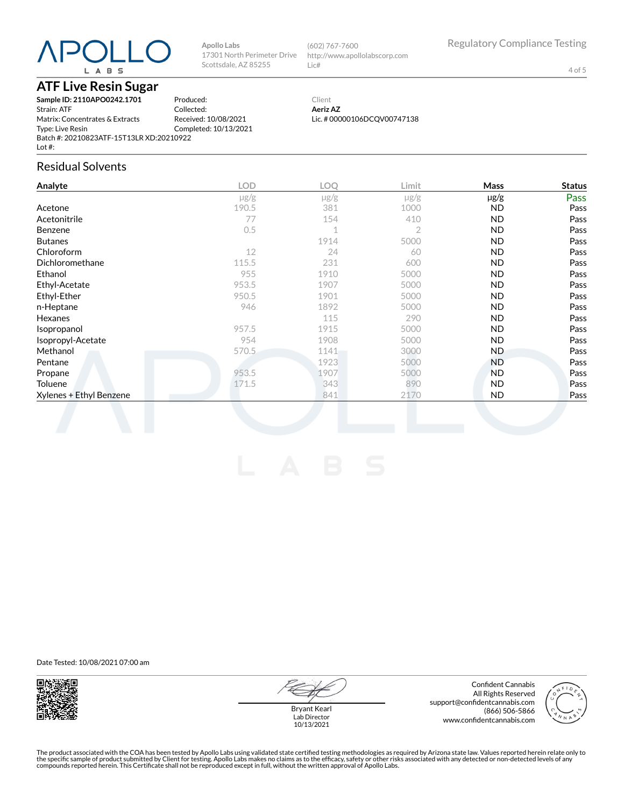**Apollo Labs**

17301 North Perimeter Drive Scottsdale, AZ 85255

## **ATF Live Resin Sugar**

**Sample ID: 2110APO0242.1701** Strain: ATF Matrix: Concentrates & Extracts Type: Live Resin Batch #: 20210823ATF-15T13LR XD:20210922 Lot #: Produced: Collected: Received: 10/08/2021 Completed: 10/13/2021

## Residual Solvents

| <b>LOD</b> | LOQ       | Limit     | Mass      | <b>Status</b> |
|------------|-----------|-----------|-----------|---------------|
| $\mu$ g/g  | $\mu$ g/g | $\mu$ g/g | $\mu$ g/g | Pass          |
| 190.5      | 381       | 1000      | ND.       | Pass          |
| 77         | 154       | 410       | <b>ND</b> | Pass          |
| 0.5        | 1         | 2         | <b>ND</b> | Pass          |
|            | 1914      | 5000      | <b>ND</b> | Pass          |
| 12         | 24        | 60        | <b>ND</b> | Pass          |
| 115.5      | 231       | 600       | ND.       | Pass          |
| 955        | 1910      | 5000      | <b>ND</b> | Pass          |
| 953.5      | 1907      | 5000      | <b>ND</b> | Pass          |
| 950.5      | 1901      | 5000      | <b>ND</b> | Pass          |
| 946        | 1892      | 5000      | ND.       | Pass          |
|            | 115       | 290       | ND.       | Pass          |
| 957.5      | 1915      | 5000      | <b>ND</b> | Pass          |
| 954        | 1908      | 5000      | <b>ND</b> | Pass          |
| 570.5      | 1141      | 3000      | ND.       | Pass          |
|            | 1923      | 5000      | ND.       | Pass          |
| 953.5      | 1907      | 5000      | <b>ND</b> | Pass          |
| 171.5      | 343       | 890       | ND.       | Pass          |
|            | 841       | 2170      | <b>ND</b> | Pass          |
|            |           |           |           |               |

(602) 767-7600

Lic#

Client **Aeriz AZ**

http://www.apollolabscorp.com

Lic. # 00000106DCQV00747138

Date Tested: 10/08/2021 07:00 am



Bryant Kearl Lab Director 10/13/2021

Confident Cannabis All Rights Reserved support@confidentcannabis.com (866) 506-5866 www.confidentcannabis.com



Regulatory Compliance Testing

4 of 5

The product associated with the COA has been tested by Apollo Labs using validated state certified testing methodologies as required by Arizona state law. Values reported herein relate only to<br>the specific sample of produc